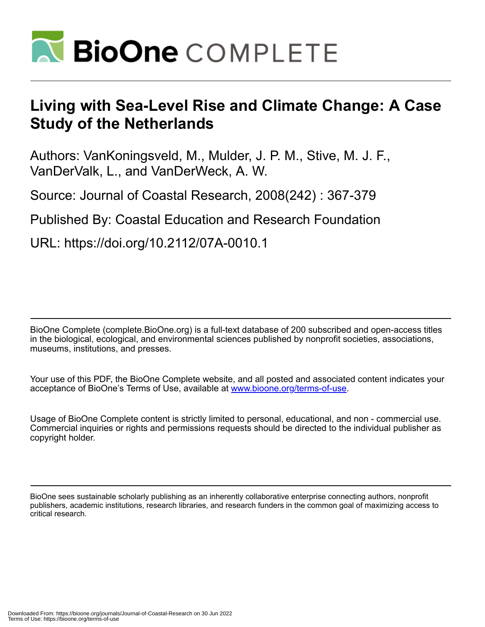

# **Living with Sea-Level Rise and Climate Change: A Case Study of the Netherlands**

Authors: VanKoningsveld, M., Mulder, J. P. M., Stive, M. J. F., VanDerValk, L., and VanDerWeck, A. W.

Source: Journal of Coastal Research, 2008(242) : 367-379

Published By: Coastal Education and Research Foundation

URL: https://doi.org/10.2112/07A-0010.1

BioOne Complete (complete.BioOne.org) is a full-text database of 200 subscribed and open-access titles in the biological, ecological, and environmental sciences published by nonprofit societies, associations, museums, institutions, and presses.

Your use of this PDF, the BioOne Complete website, and all posted and associated content indicates your acceptance of BioOne's Terms of Use, available at www.bioone.org/terms-of-use.

Usage of BioOne Complete content is strictly limited to personal, educational, and non - commercial use. Commercial inquiries or rights and permissions requests should be directed to the individual publisher as copyright holder.

BioOne sees sustainable scholarly publishing as an inherently collaborative enterprise connecting authors, nonprofit publishers, academic institutions, research libraries, and research funders in the common goal of maximizing access to critical research.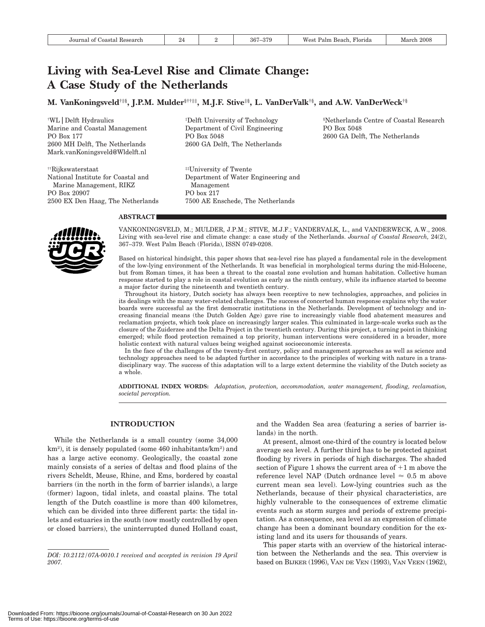| JOUTN2<br>oasta<br>nt.<br>۱ດກວ ເ<br>сат сп |  |  | 270<br>36 <sup>r</sup><br>ັບເປ | Florida<br>. . <i>.</i><br>neach<br>0.027<br>. . | 2008<br>$\neg$ records |
|--------------------------------------------|--|--|--------------------------------|--------------------------------------------------|------------------------|
|--------------------------------------------|--|--|--------------------------------|--------------------------------------------------|------------------------|

# **Living with Sea-Level Rise and Climate Change: A Case Study of the Netherlands**

**M. VanKoningsveld**†‡§**, J.P.M. Mulder**§††‡‡**, M.J.F. Stive**‡§**, L. VanDerValk**†§**, and A.W. VanDerWeck**†§

†WL | Delft Hydraulics Marine and Coastal Management PO Box 177 2600 MH Delft, The Netherlands Mark.vanKoningsveld@Wldelft.nl

††Rijkswaterstaat National Institute for Coastal and Marine Management, RIKZ PO Box 20907 2500 EX Den Haag, The Netherlands

‡ Delft University of Technology Department of Civil Engineering PO Box 5048 2600 GA Delft, The Netherlands

§ Netherlands Centre of Coastal Research PO Box 5048 2600 GA Delft, The Netherlands

‡‡University of Twente Department of Water Engineering and Management PO box 217 7500 AE Enschede, The Netherlands

#### **ABSTRACT**



VANKONINGSVELD, M.; MULDER, J.P.M.; STIVE, M.J.F.; VANDERVALK, L., and VANDERWECK, A.W., 2008. Living with sea-level rise and climate change: a case study of the Netherlands. *Journal of Coastal Research,* 24(2), 367–379. West Palm Beach (Florida), ISSN 0749-0208.

Based on historical hindsight, this paper shows that sea-level rise has played a fundamental role in the development of the low-lying environment of the Netherlands. It was beneficial in morphological terms during the mid-Holocene, but from Roman times, it has been a threat to the coastal zone evolution and human habitation. Collective human response started to play a role in coastal evolution as early as the ninth century, while its influence started to become a major factor during the nineteenth and twentieth century.

Throughout its history, Dutch society has always been receptive to new technologies, approaches, and policies in its dealings with the many water-related challenges. The success of concerted human response explains why the water boards were successful as the first democratic institutions in the Netherlands. Development of technology and increasing financial means (the Dutch Golden Age) gave rise to increasingly viable flood abatement measures and reclamation projects, which took place on increasingly larger scales. This culminated in large-scale works such as the closure of the Zuiderzee and the Delta Project in the twentieth century. During this project, a turning point in thinking emerged; while flood protection remained a top priority, human interventions were considered in a broader, more holistic context with natural values being weighed against socioeconomic interests.

In the face of the challenges of the twenty-first century, policy and management approaches as well as science and technology approaches need to be adapted further in accordance to the principles of working with nature in a transdisciplinary way. The success of this adaptation will to a large extent determine the viability of the Dutch society as a whole.

**ADDITIONAL INDEX WORDS:** *Adaptation, protection, accommodation, water management, flooding, reclamation, societal perception.*

#### **INTRODUCTION**

While the Netherlands is a small country (some 34,000 km2), it is densely populated (some 460 inhabitants/km2) and has a large active economy. Geologically, the coastal zone mainly consists of a series of deltas and flood plains of the rivers Scheldt, Meuse, Rhine, and Ems, bordered by coastal barriers (in the north in the form of barrier islands), a large (former) lagoon, tidal inlets, and coastal plains. The total length of the Dutch coastline is more than 400 kilometres, which can be divided into three different parts: the tidal inlets and estuaries in the south (now mostly controlled by open or closed barriers), the uninterrupted duned Holland coast, and the Wadden Sea area (featuring a series of barrier islands) in the north.

At present, almost one-third of the country is located below average sea level. A further third has to be protected against flooding by rivers in periods of high discharges. The shaded section of Figure 1 shows the current area of  $+1$  m above the reference level NAP (Dutch ordnance level  $\approx 0.5$  m above current mean sea level). Low-lying countries such as the Netherlands, because of their physical characteristics, are highly vulnerable to the consequences of extreme climatic events such as storm surges and periods of extreme precipitation. As a consequence, sea level as an expression of climate change has been a dominant boundary condition for the existing land and its users for thousands of years.

This paper starts with an overview of the historical interaction between the Netherlands and the sea. This overview is based on BIJKER (1996), VAN DE VEN (1993), VAN VEEN (1962),

*DOI: 10.2112/07A-0010.1 received and accepted in revision 19 April 2007.*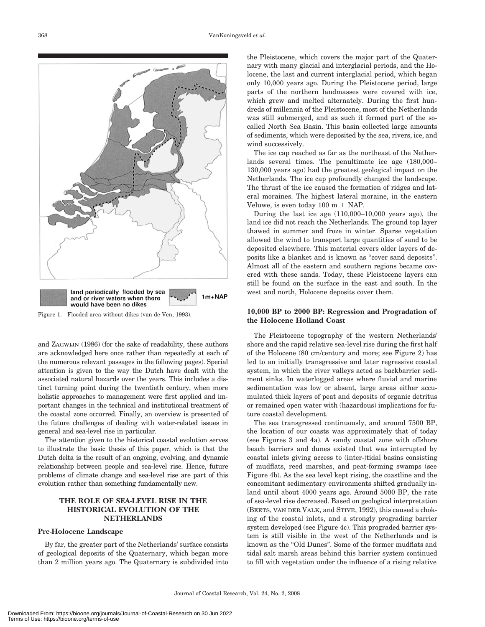

the numerous relevant passages in the following pages). Special attention is given to the way the Dutch have dealt with the associated natural hazards over the years. This includes a distinct turning point during the twentieth century, when more holistic approaches to management were first applied and important changes in the technical and institutional treatment of the coastal zone occurred. Finally, an overview is presented of the future challenges of dealing with water-related issues in general and sea-level rise in particular.

The attention given to the historical coastal evolution serves to illustrate the basic thesis of this paper, which is that the Dutch delta is the result of an ongoing, evolving, and dynamic relationship between people and sea-level rise. Hence, future problems of climate change and sea-level rise are part of this evolution rather than something fundamentally new.

# **THE ROLE OF SEA-LEVEL RISE IN THE HISTORICAL EVOLUTION OF THE NETHERLANDS**

#### **Pre-Holocene Landscape**

By far, the greater part of the Netherlands' surface consists of geological deposits of the Quaternary, which began more than 2 million years ago. The Quaternary is subdivided into

the Pleistocene, which covers the major part of the Quaternary with many glacial and interglacial periods, and the Holocene, the last and current interglacial period, which began only 10,000 years ago. During the Pleistocene period, large parts of the northern landmasses were covered with ice, which grew and melted alternately. During the first hundreds of millennia of the Pleistocene, most of the Netherlands was still submerged, and as such it formed part of the socalled North Sea Basin. This basin collected large amounts of sediments, which were deposited by the sea, rivers, ice, and wind successively.

The ice cap reached as far as the northeast of the Netherlands several times. The penultimate ice age (180,000– 130,000 years ago) had the greatest geological impact on the Netherlands. The ice cap profoundly changed the landscape. The thrust of the ice caused the formation of ridges and lateral moraines. The highest lateral moraine, in the eastern Veluwe, is even today  $100 \text{ m} + \text{NAP}$ .

During the last ice age (110,000–10,000 years ago), the land ice did not reach the Netherlands. The ground top layer thawed in summer and froze in winter. Sparse vegetation allowed the wind to transport large quantities of sand to be deposited elsewhere. This material covers older layers of deposits like a blanket and is known as ''cover sand deposits''. Almost all of the eastern and southern regions became covered with these sands. Today, these Pleistocene layers can still be found on the surface in the east and south. In the west and north, Holocene deposits cover them.

# **10,000 BP to 2000 BP: Regression and Progradation of the Holocene Holland Coast**

The Pleistocene topography of the western Netherlands' shore and the rapid relative sea-level rise during the first half of the Holocene (80 cm/century and more; see Figure 2) has led to an initially transgressive and later regressive coastal system, in which the river valleys acted as backbarrier sediment sinks. In waterlogged areas where fluvial and marine sedimentation was low or absent, large areas either accumulated thick layers of peat and deposits of organic detritus or remained open water with (hazardous) implications for future coastal development.

The sea transgressed continuously, and around 7500 BP, the location of our coasts was approximately that of today (see Figures 3 and 4a). A sandy coastal zone with offshore beach barriers and dunes existed that was interrupted by coastal inlets giving access to (inter-)tidal basins consisting of mudflats, reed marshes, and peat-forming swamps (see Figure 4b). As the sea level kept rising, the coastline and the concomitant sedimentary environments shifted gradually inland until about 4000 years ago. Around 5000 BP, the rate of sea-level rise decreased. Based on geological interpretation (BEETS, VAN DER VALK, and STIVE, 1992), this caused a choking of the coastal inlets, and a strongly prograding barrier system developed (see Figure 4c). This prograded barrier system is still visible in the west of the Netherlands and is known as the "Old Dunes". Some of the former mudflats and tidal salt marsh areas behind this barrier system continued to fill with vegetation under the influence of a rising relative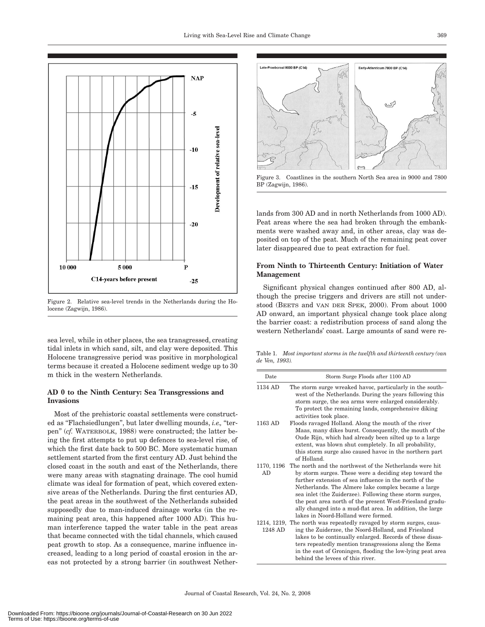

Figure 2. Relative sea-level trends in the Netherlands during the Holocene (Zagwijn, 1986).

sea level, while in other places, the sea transgressed, creating tidal inlets in which sand, silt, and clay were deposited. This Holocene transgressive period was positive in morphological terms because it created a Holocene sediment wedge up to 30 m thick in the western Netherlands.

#### **AD 0 to the Ninth Century: Sea Transgressions and Invasions**

Most of the prehistoric coastal settlements were constructed as "Flachsiedlungen", but later dwelling mounds, *i.e.*, "terpen'' (*cf.* WATERBOLK, 1988) were constructed; the latter being the first attempts to put up defences to sea-level rise, of which the first date back to 500 BC. More systematic human settlement started from the first century AD. Just behind the closed coast in the south and east of the Netherlands, there were many areas with stagnating drainage. The cool humid climate was ideal for formation of peat, which covered extensive areas of the Netherlands. During the first centuries AD, the peat areas in the southwest of the Netherlands subsided supposedly due to man-induced drainage works (in the remaining peat area, this happened after 1000 AD). This human interference tapped the water table in the peat areas that became connected with the tidal channels, which caused peat growth to stop. As a consequence, marine influence increased, leading to a long period of coastal erosion in the areas not protected by a strong barrier (in southwest Nether-

![](_page_3_Figure_6.jpeg)

Figure 3. Coastlines in the southern North Sea area in 9000 and 7800 BP (Zagwijn, 1986).

lands from 300 AD and in north Netherlands from 1000 AD). Peat areas where the sea had broken through the embankments were washed away and, in other areas, clay was deposited on top of the peat. Much of the remaining peat cover later disappeared due to peat extraction for fuel.

# **From Ninth to Thirteenth Century: Initiation of Water Management**

Significant physical changes continued after 800 AD, although the precise triggers and drivers are still not understood (BEETS and VAN DER SPEK, 2000). From about 1000 AD onward, an important physical change took place along the barrier coast: a redistribution process of sand along the western Netherlands' coast. Large amounts of sand were re-

Table 1. *Most important storms in the twelfth and thirteenth century (van de Ven, 1993).*

| Date             | Storm Surge Floods after 1100 AD                                                                                                                                                                                                                                                                                                                                                                                                                               |
|------------------|----------------------------------------------------------------------------------------------------------------------------------------------------------------------------------------------------------------------------------------------------------------------------------------------------------------------------------------------------------------------------------------------------------------------------------------------------------------|
| 1134 AD          | The storm surge wreaked havoc, particularly in the south-<br>west of the Netherlands. During the years following this<br>storm surge, the sea arms were enlarged considerably.<br>To protect the remaining lands, comprehensive diking<br>activities took place.                                                                                                                                                                                               |
| 1163 AD          | Floods ravaged Holland. Along the mouth of the river<br>Maas, many dikes burst. Consequently, the mouth of the<br>Oude Rijn, which had already been silted up to a large<br>extent, was blown shut completely. In all probability,<br>this storm surge also caused havoc in the northern part<br>of Holland.                                                                                                                                                   |
| 1170, 1196<br>AD | The north and the northwest of the Netherlands were hit<br>by storm surges. These were a deciding step toward the<br>further extension of sea influence in the north of the<br>Netherlands. The Almere lake complex became a large<br>sea inlet (the Zuiderzee). Following these storm surges,<br>the peat area north of the present West-Friesland gradu-<br>ally changed into a mud-flat area. In addition, the large<br>lakes in Noord-Holland were formed. |
| 1248 AD          | 1214, 1219, The north was repeatedly ravaged by storm surges, caus-<br>ing the Zuiderzee, the Noord-Holland, and Friesland<br>lakes to be continually enlarged. Records of these disas-<br>ters repeatedly mention transgressions along the Eems<br>in the east of Groningen, flooding the low-lying peat area<br>behind the levees of this river.                                                                                                             |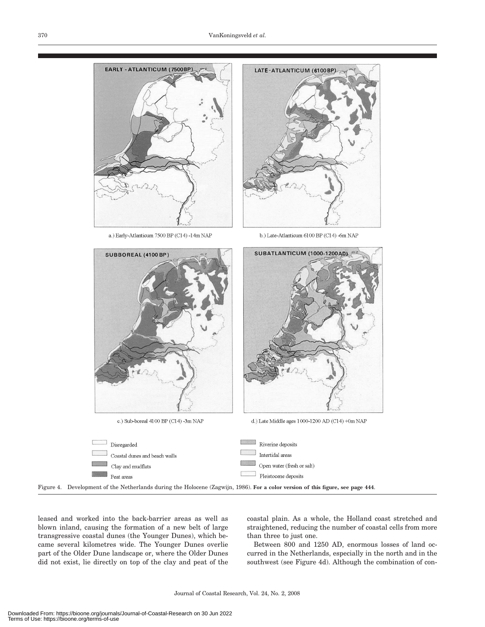![](_page_4_Figure_1.jpeg)

a.) Early-Atlanticum 7500 BP (C14) -14m NAP

![](_page_4_Figure_3.jpeg)

b.) Late-Atlanticum 6100 BP (C14) -6m NAP

![](_page_4_Figure_5.jpeg)

Figure 4. Development of the Netherlands during the Holocene (Zagwijn, 1986). **For a color version of this figure, see page 444**.

leased and worked into the back-barrier areas as well as blown inland, causing the formation of a new belt of large transgressive coastal dunes (the Younger Dunes), which became several kilometres wide. The Younger Dunes overlie part of the Older Dune landscape or, where the Older Dunes did not exist, lie directly on top of the clay and peat of the coastal plain. As a whole, the Holland coast stretched and straightened, reducing the number of coastal cells from more than three to just one.

Between 800 and 1250 AD, enormous losses of land occurred in the Netherlands, especially in the north and in the southwest (see Figure 4d). Although the combination of con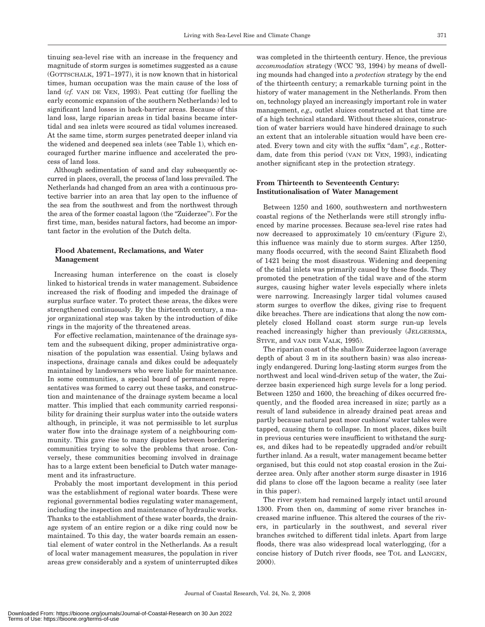tinuing sea-level rise with an increase in the frequency and magnitude of storm surges is sometimes suggested as a cause (GOTTSCHALK, 1971–1977), it is now known that in historical times, human occupation was the main cause of the loss of land (*cf.* VAN DE VEN, 1993). Peat cutting (for fuelling the early economic expansion of the southern Netherlands) led to significant land losses in back-barrier areas. Because of this land loss, large riparian areas in tidal basins became intertidal and sea inlets were scoured as tidal volumes increased. At the same time, storm surges penetrated deeper inland via the widened and deepened sea inlets (see Table 1), which encouraged further marine influence and accelerated the process of land loss.

Although sedimentation of sand and clay subsequently occurred in places, overall, the process of land loss prevailed. The Netherlands had changed from an area with a continuous protective barrier into an area that lay open to the influence of the sea from the southwest and from the northwest through the area of the former coastal lagoon (the ''Zuiderzee''). For the first time, man, besides natural factors, had become an important factor in the evolution of the Dutch delta.

#### **Flood Abatement, Reclamations, and Water Management**

Increasing human interference on the coast is closely linked to historical trends in water management. Subsidence increased the risk of flooding and impeded the drainage of surplus surface water. To protect these areas, the dikes were strengthened continuously. By the thirteenth century, a major organizational step was taken by the introduction of dike rings in the majority of the threatened areas.

For effective reclamation, maintenance of the drainage system and the subsequent diking, proper administrative organisation of the population was essential. Using bylaws and inspections, drainage canals and dikes could be adequately maintained by landowners who were liable for maintenance. In some communities, a special board of permanent representatives was formed to carry out these tasks, and construction and maintenance of the drainage system became a local matter. This implied that each community carried responsibility for draining their surplus water into the outside waters although, in principle, it was not permissible to let surplus water flow into the drainage system of a neighbouring community. This gave rise to many disputes between bordering communities trying to solve the problems that arose. Conversely, these communities becoming involved in drainage has to a large extent been beneficial to Dutch water management and its infrastructure.

Probably the most important development in this period was the establishment of regional water boards. These were regional governmental bodies regulating water management, including the inspection and maintenance of hydraulic works. Thanks to the establishment of these water boards, the drainage system of an entire region or a dike ring could now be maintained. To this day, the water boards remain an essential element of water control in the Netherlands. As a result of local water management measures, the population in river areas grew considerably and a system of uninterrupted dikes

was completed in the thirteenth century. Hence, the previous *accommodation* strategy (WCC '93, 1994) by means of dwelling mounds had changed into a *protection* strategy by the end of the thirteenth century; a remarkable turning point in the history of water management in the Netherlands. From then on, technology played an increasingly important role in water management, *e.g.*, outlet sluices constructed at that time are of a high technical standard. Without these sluices, construction of water barriers would have hindered drainage to such an extent that an intolerable situation would have been created. Every town and city with the suffix ''dam'', *e.g.*, Rotterdam, date from this period (VAN DE VEN, 1993), indicating another significant step in the protection strategy.

#### **From Thirteenth to Seventeenth Century: Institutionalisation of Water Management**

Between 1250 and 1600, southwestern and northwestern coastal regions of the Netherlands were still strongly influenced by marine processes. Because sea-level rise rates had now decreased to approximately 10 cm/century (Figure 2), this influence was mainly due to storm surges. After 1250, many floods occurred, with the second Saint Elizabeth flood of 1421 being the most disastrous. Widening and deepening of the tidal inlets was primarily caused by these floods. They promoted the penetration of the tidal wave and of the storm surges, causing higher water levels especially where inlets were narrowing. Increasingly larger tidal volumes caused storm surges to overflow the dikes, giving rise to frequent dike breaches. There are indications that along the now completely closed Holland coast storm surge run-up levels reached increasingly higher than previously (JELGERSMA, STIVE, and VAN DER VALK, 1995).

The riparian coast of the shallow Zuiderzee lagoon (average depth of about 3 m in its southern basin) was also increasingly endangered. During long-lasting storm surges from the northwest and local wind-driven setup of the water, the Zuiderzee basin experienced high surge levels for a long period. Between 1250 and 1600, the breaching of dikes occurred frequently, and the flooded area increased in size; partly as a result of land subsidence in already drained peat areas and partly because natural peat moor cushions' water tables were tapped, causing them to collapse. In most places, dikes built in previous centuries were insufficient to withstand the surges, and dikes had to be repeatedly upgraded and/or rebuilt further inland. As a result, water management became better organised, but this could not stop coastal erosion in the Zuiderzee area. Only after another storm surge disaster in 1916 did plans to close off the lagoon became a reality (see later in this paper).

The river system had remained largely intact until around 1300. From then on, damming of some river branches increased marine influence. This altered the courses of the rivers, in particularly in the southwest, and several river branches switched to different tidal inlets. Apart from large floods, there was also widespread local waterlogging, (for a concise history of Dutch river floods, see TOL and LANGEN, 2000).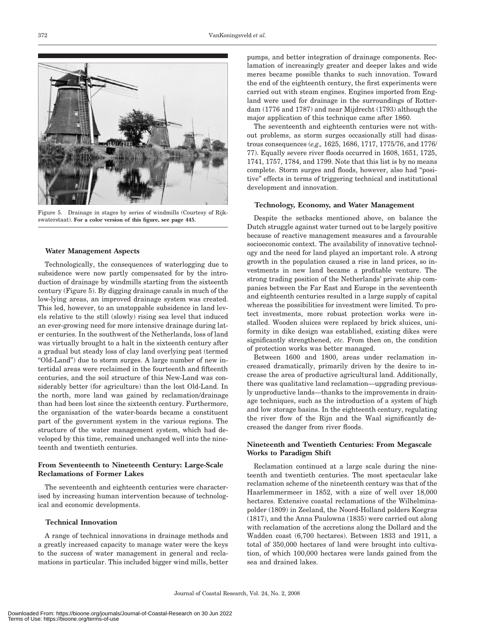![](_page_6_Picture_1.jpeg)

Figure 5. Drainage in stages by series of windmills (Courtesy of Rijkswaterstaat). **For a color version of this figure, see page 445**.

#### **Water Management Aspects**

Technologically, the consequences of waterlogging due to subsidence were now partly compensated for by the introduction of drainage by windmills starting from the sixteenth century (Figure 5). By digging drainage canals in much of the low-lying areas, an improved drainage system was created. This led, however, to an unstoppable subsidence in land levels relative to the still (slowly) rising sea level that induced an ever-growing need for more intensive drainage during later centuries. In the southwest of the Netherlands, loss of land was virtually brought to a halt in the sixteenth century after a gradual but steady loss of clay land overlying peat (termed ''Old-Land'') due to storm surges. A large number of new intertidal areas were reclaimed in the fourteenth and fifteenth centuries, and the soil structure of this New-Land was considerably better (for agriculture) than the lost Old-Land. In the north, more land was gained by reclamation/drainage than had been lost since the sixteenth century. Furthermore, the organisation of the water-boards became a constituent part of the government system in the various regions. The structure of the water management system, which had developed by this time, remained unchanged well into the nineteenth and twentieth centuries.

# **From Seventeenth to Nineteenth Century: Large-Scale Reclamations of Former Lakes**

The seventeenth and eighteenth centuries were characterised by increasing human intervention because of technological and economic developments.

#### **Technical Innovation**

A range of technical innovations in drainage methods and a greatly increased capacity to manage water were the keys to the success of water management in general and reclamations in particular. This included bigger wind mills, better

pumps, and better integration of drainage components. Reclamation of increasingly greater and deeper lakes and wide meres became possible thanks to such innovation. Toward the end of the eighteenth century, the first experiments were carried out with steam engines. Engines imported from England were used for drainage in the surroundings of Rotterdam (1776 and 1787) and near Mijdrecht (1793) although the major application of this technique came after 1860.

The seventeenth and eighteenth centuries were not without problems, as storm surges occasionally still had disastrous consequences (*e.g.,* 1625, 1686, 1717, 1775/76, and 1776/ 77). Equally severe river floods occurred in 1608, 1651, 1725, 1741, 1757, 1784, and 1799. Note that this list is by no means complete. Storm surges and floods, however, also had ''positive'' effects in terms of triggering technical and institutional development and innovation.

#### **Technology, Economy, and Water Management**

Despite the setbacks mentioned above, on balance the Dutch struggle against water turned out to be largely positive because of reactive management measures and a favourable socioeconomic context. The availability of innovative technology and the need for land played an important role. A strong growth in the population caused a rise in land prices, so investments in new land became a profitable venture. The strong trading position of the Netherlands' private ship companies between the Far East and Europe in the seventeenth and eighteenth centuries resulted in a large supply of capital whereas the possibilities for investment were limited. To protect investments, more robust protection works were installed. Wooden sluices were replaced by brick sluices, uniformity in dike design was established, existing dikes were significantly strengthened, *etc.* From then on, the condition of protection works was better managed.

Between 1600 and 1800, areas under reclamation increased dramatically, primarily driven by the desire to increase the area of productive agricultural land. Additionally, there was qualitative land reclamation—upgrading previously unproductive lands—thanks to the improvements in drainage techniques, such as the introduction of a system of high and low storage basins. In the eighteenth century, regulating the river flow of the Rijn and the Waal significantly decreased the danger from river floods.

#### **Nineteenth and Twentieth Centuries: From Megascale Works to Paradigm Shift**

Reclamation continued at a large scale during the nineteenth and twentieth centuries. The most spectacular lake reclamation scheme of the nineteenth century was that of the Haarlemmermeer in 1852, with a size of well over 18,000 hectares. Extensive coastal reclamations of the Wilhelminapolder (1809) in Zeeland, the Noord-Holland polders Koegras (1817), and the Anna Paulowna (1835) were carried out along with reclamation of the accretions along the Dollard and the Wadden coast (6,700 hectares). Between 1833 and 1911, a total of 350,000 hectares of land were brought into cultivation, of which 100,000 hectares were lands gained from the sea and drained lakes.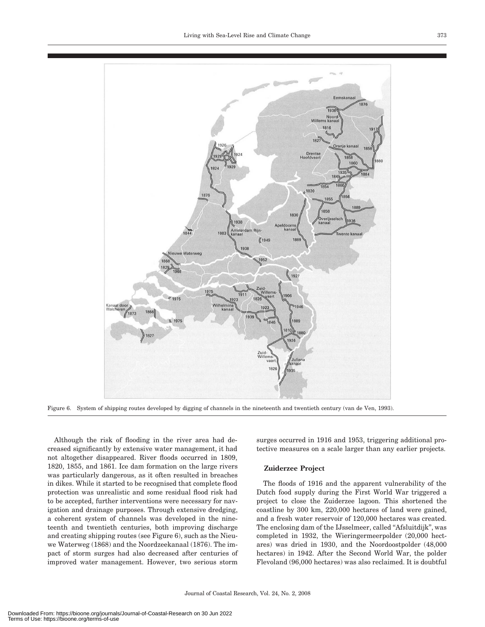![](_page_7_Figure_2.jpeg)

Figure 6. System of shipping routes developed by digging of channels in the nineteenth and twentieth century (van de Ven, 1993).

Although the risk of flooding in the river area had decreased significantly by extensive water management, it had not altogether disappeared. River floods occurred in 1809, 1820, 1855, and 1861. Ice dam formation on the large rivers was particularly dangerous, as it often resulted in breaches in dikes. While it started to be recognised that complete flood protection was unrealistic and some residual flood risk had to be accepted, further interventions were necessary for navigation and drainage purposes. Through extensive dredging, a coherent system of channels was developed in the nineteenth and twentieth centuries, both improving discharge and creating shipping routes (see Figure 6), such as the Nieuwe Waterweg (1868) and the Noordzeekanaal (1876). The impact of storm surges had also decreased after centuries of improved water management. However, two serious storm

surges occurred in 1916 and 1953, triggering additional protective measures on a scale larger than any earlier projects.

#### **Zuiderzee Project**

The floods of 1916 and the apparent vulnerability of the Dutch food supply during the First World War triggered a project to close the Zuiderzee lagoon. This shortened the coastline by 300 km, 220,000 hectares of land were gained, and a fresh water reservoir of 120,000 hectares was created. The enclosing dam of the IJsselmeer, called "Afsluitdijk", was completed in 1932, the Wieringermeerpolder (20,000 hectares) was dried in 1930, and the Noordoostpolder (48,000 hectares) in 1942. After the Second World War, the polder Flevoland (96,000 hectares) was also reclaimed. It is doubtful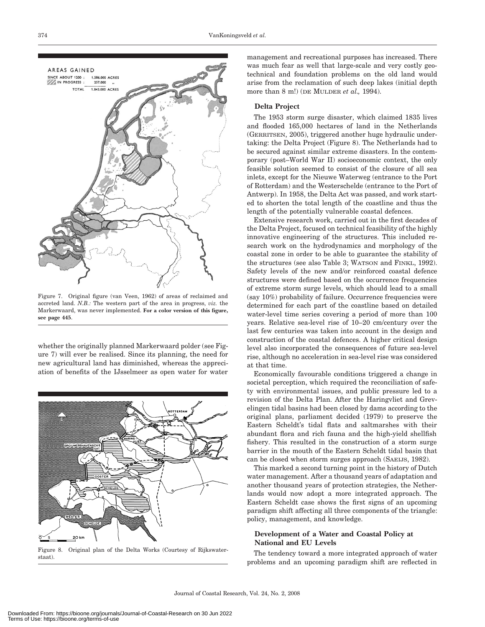![](_page_8_Figure_1.jpeg)

Figure 7. Original figure (van Veen, 1962) of areas of reclaimed and accreted land. *N.B.:* The western part of the area in progress, *viz.* the Markerwaard, was never implemented. **For a color version of this figure, see page 445**.

whether the originally planned Markerwaard polder (see Figure 7) will ever be realised. Since its planning, the need for new agricultural land has diminished, whereas the appreciation of benefits of the IJsselmeer as open water for water

![](_page_8_Figure_4.jpeg)

Figure 8. Original plan of the Delta Works (Courtesy of Rijkswaterstaat).

management and recreational purposes has increased. There was much fear as well that large-scale and very costly geotechnical and foundation problems on the old land would arise from the reclamation of such deep lakes (initial depth more than 8 m!) (DE MULDER *et al.,* 1994).

#### **Delta Project**

The 1953 storm surge disaster, which claimed 1835 lives and flooded 165,000 hectares of land in the Netherlands (GERRITSEN, 2005), triggered another huge hydraulic undertaking: the Delta Project (Figure 8). The Netherlands had to be secured against similar extreme disasters. In the contemporary (post–World War II) socioeconomic context, the only feasible solution seemed to consist of the closure of all sea inlets, except for the Nieuwe Waterweg (entrance to the Port of Rotterdam) and the Westerschelde (entrance to the Port of Antwerp). In 1958, the Delta Act was passed, and work started to shorten the total length of the coastline and thus the length of the potentially vulnerable coastal defences.

Extensive research work, carried out in the first decades of the Delta Project, focused on technical feasibility of the highly innovative engineering of the structures. This included research work on the hydrodynamics and morphology of the coastal zone in order to be able to guarantee the stability of the structures (see also Table 3; WATSON and FINKL, 1992). Safety levels of the new and/or reinforced coastal defence structures were defined based on the occurrence frequencies of extreme storm surge levels, which should lead to a small (say 10%) probability of failure. Occurrence frequencies were determined for each part of the coastline based on detailed water-level time series covering a period of more than 100 years. Relative sea-level rise of 10–20 cm/century over the last few centuries was taken into account in the design and construction of the coastal defences. A higher critical design level also incorporated the consequences of future sea-level rise, although no acceleration in sea-level rise was considered at that time.

Economically favourable conditions triggered a change in societal perception, which required the reconciliation of safety with environmental issues, and public pressure led to a revision of the Delta Plan. After the Haringvliet and Grevelingen tidal basins had been closed by dams according to the original plans, parliament decided (1979) to preserve the Eastern Scheldt's tidal flats and saltmarshes with their abundant flora and rich fauna and the high-yield shellfish fishery. This resulted in the construction of a storm surge barrier in the mouth of the Eastern Scheldt tidal basin that can be closed when storm surges approach (SAEIJS, 1982).

This marked a second turning point in the history of Dutch water management. After a thousand years of adaptation and another thousand years of protection strategies, the Netherlands would now adopt a more integrated approach. The Eastern Scheldt case shows the first signs of an upcoming paradigm shift affecting all three components of the triangle: policy, management, and knowledge.

#### **Development of a Water and Coastal Policy at National and EU Levels**

The tendency toward a more integrated approach of water problems and an upcoming paradigm shift are reflected in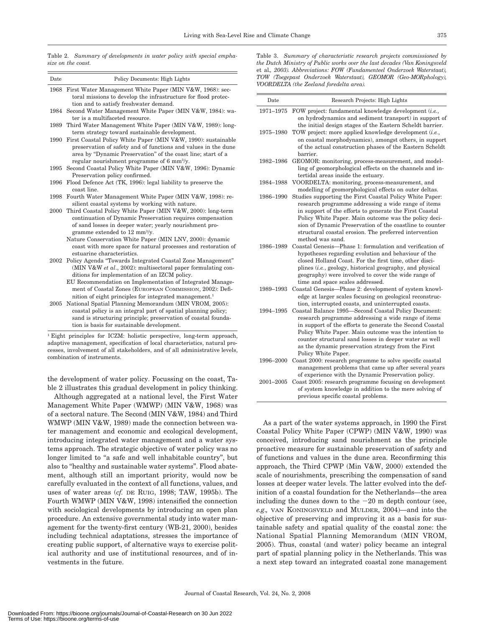Table 2. *Summary of developments in water policy with special emphasize on the coast.*

| Date | Policy Documents: High Lights                                                                                                                                                                                                                                                                                                                                                                       |
|------|-----------------------------------------------------------------------------------------------------------------------------------------------------------------------------------------------------------------------------------------------------------------------------------------------------------------------------------------------------------------------------------------------------|
|      | 1968 First Water Management White Paper (MIN V&W, 1968): sec-<br>toral missions to develop the infrastructure for flood protec-<br>tion and to satisfy freshwater demand.                                                                                                                                                                                                                           |
|      | 1984 Second Water Management White Paper (MIN V&W, 1984): wa-<br>ter is a multifaceted resource.                                                                                                                                                                                                                                                                                                    |
| 1989 | Third Water Management White Paper (MIN V&W, 1989): long-<br>term strategy toward sustainable development.                                                                                                                                                                                                                                                                                          |
| 1990 | First Coastal Policy White Paper (MIN V&W, 1990): sustainable<br>preservation of safety and of functions and values in the dune<br>area by "Dynamic Preservation" of the coast line; start of a<br>regular nourishment programme of 6 mm <sup>3</sup> /y.                                                                                                                                           |
| 1995 | Second Coastal Policy White Paper (MIN V&W, 1996): Dynamic<br>Preservation policy confirmed.                                                                                                                                                                                                                                                                                                        |
| 1996 | Flood Defence Act (TK, 1996): legal liability to preserve the<br>coast line.                                                                                                                                                                                                                                                                                                                        |
| 1998 | Fourth Water Management White Paper (MIN V&W, 1998): re-<br>silient coastal systems by working with nature.                                                                                                                                                                                                                                                                                         |
| 2000 | Third Coastal Policy White Paper (MIN V&W, 2000): long-term<br>continuation of Dynamic Preservation requires compensation<br>of sand losses in deeper water; yearly nourishment pro-<br>gramme extended to 12 mm <sup>3</sup> /y.                                                                                                                                                                   |
|      | Nature Conservation White Paper (MIN LNV, 2000): dynamic<br>coast with more space for natural processes and restoration of<br>estuarine characteristics.                                                                                                                                                                                                                                            |
| 2002 | Policy Agenda "Towards Integrated Coastal Zone Management"<br>(MIN V&W et al., 2002): multisectoral paper formulating con-<br>ditions for implementation of an IZCM policy.<br>EU Recommendation on Implementation of Integrated Manage-<br>ment of Coastal Zones (EUROPEAN COMMISSION, 2002): Defi-                                                                                                |
| 2005 | nition of eight principles for integrated management. <sup>1</sup><br>National Spatial Planning Memorandum (MIN VROM, 2005):<br>coastal policy is an integral part of spatial planning policy;<br>sand is structuring principle; preservation of coastal founda-<br>tion is basis for sustainable development.<br><sup>1</sup> Eight principles for ICZM: holistic perspective, long-term approach, |

adaptive management, specification of local characteristics, natural processes, involvement of all stakeholders, and of all administrative levels, combination of instruments.

the development of water policy. Focussing on the coast, Table 2 illustrates this gradual development in policy thinking.

Although aggregated at a national level, the First Water Management White Paper (WMWP) (MIN V&W, 1968) was of a sectoral nature. The Second (MIN V&W, 1984) and Third WMWP (MIN V&W, 1989) made the connection between water management and economic and ecological development, introducing integrated water management and a water systems approach. The strategic objective of water policy was no longer limited to "a safe and well inhabitable country", but also to ''healthy and sustainable water systems''. Flood abatement, although still an important priority, would now be carefully evaluated in the context of all functions, values, and uses of water areas (*cf.* DE RUIG, 1998; TAW, 1995b). The Fourth WMWP (MIN V&W, 1998) intensified the connection with sociological developments by introducing an open plan procedure. An extensive governmental study into water management for the twenty-first century (WB-21, 2000), besides including technical adaptations, stresses the importance of creating public support, of alternative ways to exercise political authority and use of institutional resources, and of investments in the future.

Table 3. *Summary of characteristic research projects commissioned by the Dutch Ministry of Public works over the last decades (Van Koningsveld* et al*., 2003). Abbreviations: FOW (Fundamenteel Onderzoek Waterstaat), TOW (Toegepast Onderzoek Waterstaat), GEOMOR (Geo-MORphology), VOORDELTA (the Zeeland foredelta area).*

| Date      | Research Projects: High Lights                                                                                                                                                                                                                                                                                                                                                |
|-----------|-------------------------------------------------------------------------------------------------------------------------------------------------------------------------------------------------------------------------------------------------------------------------------------------------------------------------------------------------------------------------------|
| 1971-1975 | FOW project: fundamental knowledge development ( <i>i.e.</i> ,<br>on hydrodynamics and sediment transport) in support of                                                                                                                                                                                                                                                      |
| 1975-1980 | the initial design stages of the Eastern Scheldt barrier.<br>TOW project: more applied knowledge development (i.e.,<br>on coastal morphodynamics), amongst others, in support<br>of the actual construction phases of the Eastern Scheldt<br>barrier.                                                                                                                         |
| 1982-1986 | GEOMOR: monitoring, process-measurement, and model-<br>ling of geomorphological effects on the channels and in-<br>tertidal areas inside the estuary.                                                                                                                                                                                                                         |
| 1984-1988 | VOORDELTA: monitoring, process-measurement, and<br>modelling of geomorphological effects on outer deltas.                                                                                                                                                                                                                                                                     |
| 1986-1990 | Studies supporting the First Coastal Policy White Paper:<br>research programme addressing a wide range of items<br>in support of the efforts to generate the First Coastal<br>Policy White Paper. Main outcome was the policy deci-<br>sion of Dynamic Preservation of the coastline to counter<br>structural coastal erosion. The preferred intervention<br>method was sand. |
| 1986-1989 | Coastal Genesis-Phase 1: formulation and verification of<br>hypotheses regarding evolution and behaviour of the<br>closed Holland Coast. For the first time, other disci-<br>plines (i.e., geology, historical geography, and physical<br>geography) were involved to cover the wide range of<br>time and space scales addressed.                                             |
| 1989–1993 | Coastal Genesis-Phase 2: development of system knowl-<br>edge at larger scales focusing on geological reconstruc-<br>tion, interrupted coasts, and uninterrupted coasts.                                                                                                                                                                                                      |
| 1994-1995 | Coastal Balance 1995-Second Coastal Policy Document:<br>research programme addressing a wide range of items<br>in support of the efforts to generate the Second Coastal<br>Policy White Paper. Main outcome was the intention to<br>counter structural sand losses in deeper water as well<br>as the dynamic preservation strategy from the First<br>Policy White Paper.      |
| 1996-2000 | Coast 2000: research programme to solve specific coastal<br>management problems that came up after several years<br>of experience with the Dynamic Preservation policy.                                                                                                                                                                                                       |
| 2001-2005 | Coast 2005: research programme focusing on development<br>of system knowledge in addition to the mere solving of<br>previous specific coastal problems.                                                                                                                                                                                                                       |

As a part of the water systems approach, in 1990 the First Coastal Policy White Paper (CPWP) (MIN V&W, 1990) was conceived, introducing sand nourishment as the principle proactive measure for sustainable preservation of safety and of functions and values in the dune area. Reconfirming this approach, the Third CPWP (Min V&W, 2000) extended the scale of nourishments, prescribing the compensation of sand losses at deeper water levels. The latter evolved into the definition of a coastal foundation for the Netherlands—the area including the dunes down to the  $-20$  m depth contour (see, *e.g.,* VAN KONINGSVELD and MULDER, 2004)—and into the objective of preserving and improving it as a basis for sustainable safety and spatial quality of the coastal zone: the National Spatial Planning Memorandum (MIN VROM, 2005). Thus, coastal (and water) policy became an integral part of spatial planning policy in the Netherlands. This was a next step toward an integrated coastal zone management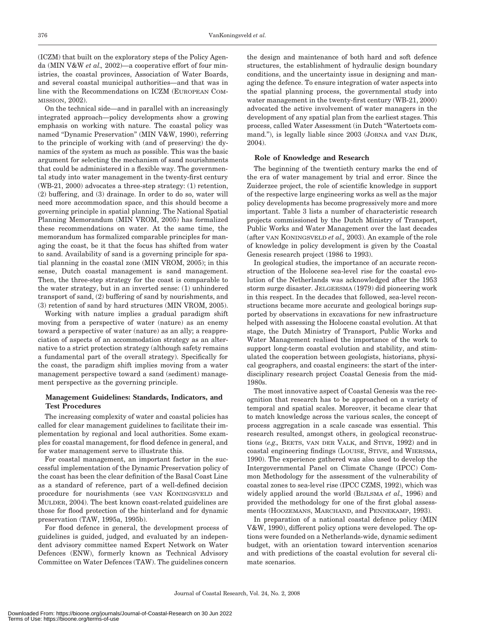(ICZM) that built on the exploratory steps of the Policy Agenda (MIN V&W *et al.,* 2002)—a cooperative effort of four ministries, the coastal provinces, Association of Water Boards, and several coastal municipal authorities—and that was in line with the Recommendations on ICZM (EUROPEAN COM-MISSION, 2002).

On the technical side—and in parallel with an increasingly integrated approach—policy developments show a growing emphasis on working with nature. The coastal policy was named "Dynamic Preservation" (MIN V&W, 1990), referring to the principle of working with (and of preserving) the dynamics of the system as much as possible. This was the basic argument for selecting the mechanism of sand nourishments that could be administered in a flexible way. The governmental study into water management in the twenty-first century (WB-21, 2000) advocates a three-step strategy: (1) retention, (2) buffering, and (3) drainage. In order to do so, water will need more accommodation space, and this should become a governing principle in spatial planning. The National Spatial Planning Memorandum (MIN VROM, 2005) has formalized these recommendations on water. At the same time, the memorandum has formalized comparable principles for managing the coast, be it that the focus has shifted from water to sand. Availability of sand is a governing principle for spatial planning in the coastal zone (MIN VROM, 2005); in this sense, Dutch coastal management is sand management. Then, the three-step strategy for the coast is comparable to the water strategy, but in an inverted sense: (1) unhindered transport of sand, (2) buffering of sand by nourishments, and (3) retention of sand by hard structures (MIN VROM, 2005).

Working with nature implies a gradual paradigm shift moving from a perspective of water (nature) as an enemy toward a perspective of water (nature) as an ally; a reappreciation of aspects of an accommodation strategy as an alternative to a strict protection strategy (although safety remains a fundamental part of the overall strategy). Specifically for the coast, the paradigm shift implies moving from a water management perspective toward a sand (sediment) management perspective as the governing principle.

#### **Management Guidelines: Standards, Indicators, and Test Procedures**

The increasing complexity of water and coastal policies has called for clear management guidelines to facilitate their implementation by regional and local authorities. Some examples for coastal management, for flood defence in general, and for water management serve to illustrate this.

For coastal management, an important factor in the successful implementation of the Dynamic Preservation policy of the coast has been the clear definition of the Basal Coast Line as a standard of reference, part of a well-defined decision procedure for nourishments (see VAN KONINGSVELD and MULDER, 2004). The best known coast-related guidelines are those for flood protection of the hinterland and for dynamic preservation (TAW, 1995a, 1995b).

For flood defence in general, the development process of guidelines is guided, judged, and evaluated by an independent advisory committee named Expert Network on Water Defences (ENW), formerly known as Technical Advisory Committee on Water Defences (TAW). The guidelines concern

the design and maintenance of both hard and soft defence structures, the establishment of hydraulic design boundary conditions, and the uncertainty issue in designing and managing the defence. To ensure integration of water aspects into the spatial planning process, the governmental study into water management in the twenty-first century (WB-21, 2000) advocated the active involvement of water managers in the development of any spatial plan from the earliest stages. This process, called Water Assessment (in Dutch ''Watertoets command.''), is legally liable since 2003 (JORNA and VAN DIJK, 2004).

#### **Role of Knowledge and Research**

The beginning of the twentieth century marks the end of the era of water management by trial and error. Since the Zuiderzee project, the role of scientific knowledge in support of the respective large engineering works as well as the major policy developments has become progressively more and more important. Table 3 lists a number of characteristic research projects commissioned by the Dutch Ministry of Transport, Public Works and Water Management over the last decades (after VAN KONINGSVELD *et al.,* 2003). An example of the role of knowledge in policy development is given by the Coastal Genesis research project (1986 to 1993).

In geological studies, the importance of an accurate reconstruction of the Holocene sea-level rise for the coastal evolution of the Netherlands was acknowledged after the 1953 storm surge disaster. JELGERSMA (1979) did pioneering work in this respect. In the decades that followed, sea-level reconstructions became more accurate and geological borings supported by observations in excavations for new infrastructure helped with assessing the Holocene coastal evolution. At that stage, the Dutch Ministry of Transport, Public Works and Water Management realised the importance of the work to support long-term coastal evolution and stability, and stimulated the cooperation between geologists, historians, physical geographers, and coastal engineers: the start of the interdisciplinary research project Coastal Genesis from the mid-1980s.

The most innovative aspect of Coastal Genesis was the recognition that research has to be approached on a variety of temporal and spatial scales. Moreover, it became clear that to match knowledge across the various scales, the concept of process aggregation in a scale cascade was essential. This research resulted, amongst others, in geological reconstructions (*e.g.,* BEETS, VAN DER VALK, and STIVE, 1992) and in coastal engineering findings (LOUISE, STIVE, and WIERSMA, 1990). The experience gathered was also used to develop the Intergovernmental Panel on Climate Change (IPCC) Common Methodology for the assessment of the vulnerability of coastal zones to sea-level rise (IPCC CZMS, 1992), which was widely applied around the world (BIJLSMA *et al.,* 1996) and provided the methodology for one of the first global assessments (HOOZEMANS, MARCHAND, and PENNEKAMP, 1993).

In preparation of a national coastal defence policy (MIN V&W, 1990), different policy options were developed. The options were founded on a Netherlands-wide, dynamic sediment budget, with an orientation toward intervention scenarios and with predictions of the coastal evolution for several climate scenarios.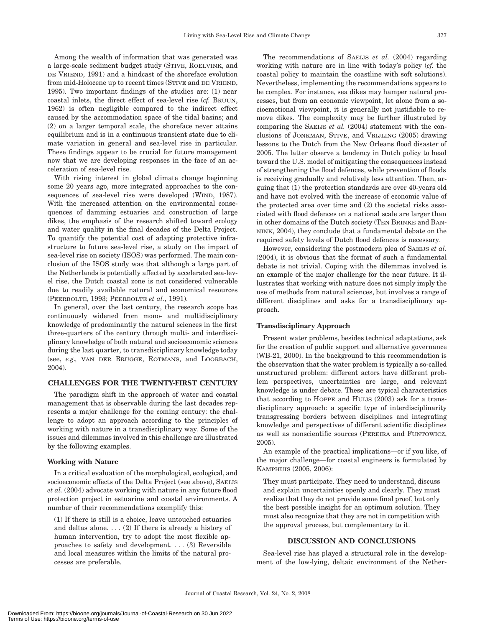Among the wealth of information that was generated was a large-scale sediment budget study (STIVE, ROELVINK, and DE VRIEND, 1991) and a hindcast of the shoreface evolution from mid-Holocene up to recent times (STIVE and DE VRIEND, 1995). Two important findings of the studies are: (1) near coastal inlets, the direct effect of sea-level rise (*cf.* BRUUN, 1962) is often negligible compared to the indirect effect caused by the accommodation space of the tidal basins; and (2) on a larger temporal scale, the shoreface never attains equilibrium and is in a continuous transient state due to climate variation in general and sea-level rise in particular. These findings appear to be crucial for future management now that we are developing responses in the face of an acceleration of sea-level rise.

With rising interest in global climate change beginning some 20 years ago, more integrated approaches to the consequences of sea-level rise were developed (WIND, 1987). With the increased attention on the environmental consequences of damming estuaries and construction of large dikes, the emphasis of the research shifted toward ecology and water quality in the final decades of the Delta Project. To quantify the potential cost of adapting protective infrastructure to future sea-level rise, a study on the impact of sea-level rise on society (ISOS) was performed. The main conclusion of the ISOS study was that although a large part of the Netherlands is potentially affected by accelerated sea-level rise, the Dutch coastal zone is not considered vulnerable due to readily available natural and economical resources (PEERBOLTE, 1993; PEERBOLTE *et al.*, 1991).

In general, over the last century, the research scope has continuously widened from mono- and multidisciplinary knowledge of predominantly the natural sciences in the first three-quarters of the century through multi- and interdisciplinary knowledge of both natural and socioeconomic sciences during the last quarter, to transdisciplinary knowledge today (see, *e.g.,* VAN DER BRUGGE, ROTMANS, and LOORBACH, 2004).

# **CHALLENGES FOR THE TWENTY-FIRST CENTURY**

The paradigm shift in the approach of water and coastal management that is observable during the last decades represents a major challenge for the coming century: the challenge to adopt an approach according to the principles of working with nature in a transdisciplinary way. Some of the issues and dilemmas involved in this challenge are illustrated by the following examples.

#### **Working with Nature**

In a critical evaluation of the morphological, ecological, and socioeconomic effects of the Delta Project (see above), SAEIJS *et al.* (2004) advocate working with nature in any future flood protection project in estuarine and coastal environments. A number of their recommendations exemplify this:

(1) If there is still is a choice, leave untouched estuaries and deltas alone. . . . (2) If there is already a history of human intervention, try to adopt the most flexible approaches to safety and development. . . . (3) Reversible and local measures within the limits of the natural processes are preferable.

The recommendations of SAEIJS *et al.* (2004) regarding working with nature are in line with today's policy (*cf.* the coastal policy to maintain the coastline with soft solutions). Nevertheless, implementing the recommendations appears to be complex. For instance, sea dikes may hamper natural processes, but from an economic viewpoint, let alone from a socioemotional viewpoint, it is generally not justifiable to remove dikes. The complexity may be further illustrated by comparing the SAEIJS *et al.* (2004) statement with the conclusions of JONKMAN, STIVE, and VRIJLING (2005) drawing lessons to the Dutch from the New Orleans flood disaster of 2005. The latter observe a tendency in Dutch policy to head toward the U.S. model of mitigating the consequences instead of strengthening the flood defences, while prevention of floods is receiving gradually and relatively less attention. Then, arguing that (1) the protection standards are over 40-years old and have not evolved with the increase of economic value of the protected area over time and (2) the societal risks associated with flood defences on a national scale are larger than in other domains of the Dutch society (TEN BRINKE and BAN-NINK, 2004), they conclude that a fundamental debate on the required safety levels of Dutch flood defences is necessary.

However, considering the postmodern plea of SAEIJS *et al.* (2004), it is obvious that the format of such a fundamental debate is not trivial. Coping with the dilemmas involved is an example of the major challenge for the near future. It illustrates that working with nature does not simply imply the use of methods from natural sciences, but involves a range of different disciplines and asks for a transdisciplinary approach.

### **Transdisciplinary Approach**

Present water problems, besides technical adaptations, ask for the creation of public support and alternative governance (WB-21, 2000). In the background to this recommendation is the observation that the water problem is typically a so-called unstructured problem: different actors have different problem perspectives, uncertainties are large, and relevant knowledge is under debate. These are typical characteristics that according to HOPPE and HUIJS (2003) ask for a transdisciplinary approach: a specific type of interdisciplinarity transgressing borders between disciplines and integrating knowledge and perspectives of different scientific disciplines as well as nonscientific sources (PEREIRA and FUNTOWICZ, 2005).

An example of the practical implications—or if you like, of the major challenge—for coastal engineers is formulated by KAMPHUIS (2005, 2006):

They must participate. They need to understand, discuss and explain uncertainties openly and clearly. They must realize that they do not provide some final proof, but only the best possible insight for an optimum solution. They must also recognize that they are not in competition with the approval process, but complementary to it.

#### **DISCUSSION AND CONCLUSIONS**

Sea-level rise has played a structural role in the development of the low-lying, deltaic environment of the Nether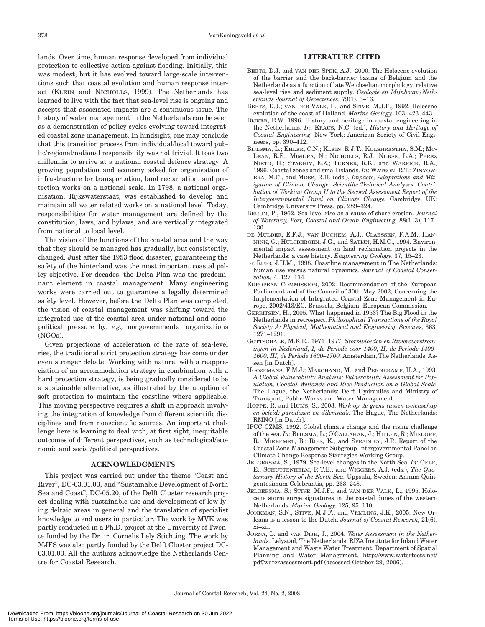lands. Over time, human response developed from individual protection to collective action against flooding. Initially, this was modest, but it has evolved toward large-scale interventions such that coastal evolution and human response interact (KLEIN and NICHOLLS, 1999). The Netherlands has learned to live with the fact that sea-level rise is ongoing and accepts that associated impacts are a continuous issue. The history of water management in the Netherlands can be seen as a demonstration of policy cycles evolving toward integrated coastal zone management. In hindsight, one may conclude that this transition process from individual/local toward public/regional/national responsibility was not trivial. It took two millennia to arrive at a national coastal defence strategy. A growing population and economy asked for organisation of infrastructure for transportation, land reclamation, and protection works on a national scale. In 1798, a national organisation, Rijkswaterstaat, was established to develop and maintain all water related works on a national level. Today, responsibilities for water management are defined by the constitution, laws, and bylaws, and are vertically integrated from national to local level.

The vision of the functions of the coastal area and the way that they should be managed has gradually, but consistently, changed. Just after the 1953 flood disaster, guaranteeing the safety of the hinterland was the most important coastal policy objective. For decades, the Delta Plan was the predominant element in coastal management. Many engineering works were carried out to guarantee a legally determined safety level. However, before the Delta Plan was completed, the vision of coastal management was shifting toward the integrated use of the coastal area under national and sociopolitical pressure by, *e.g.,* nongovernmental organizations (NGOs).

Given projections of acceleration of the rate of sea-level rise, the traditional strict protection strategy has come under even stronger debate. Working with nature, with a reappreciation of an accommodation strategy in combination with a hard protection strategy, is being gradually considered to be a sustainable alternative, as illustrated by the adoption of soft protection to maintain the coastline where applicable. This moving perspective requires a shift in approach involving the integration of knowledge from different scientific disciplines and from nonscientific sources. An important challenge here is learning to deal with, at first sight, inequitable outcomes of different perspectives, such as technological/economic and social/political perspectives.

#### **ACKNOWLEDGMENTS**

This project was carried out under the theme ''Coast and River'', DC-03.01.03, and ''Sustainable Development of North Sea and Coast'', DC-05.20, of the Delft Cluster research project dealing with sustainable use and development of low-lying deltaic areas in general and the translation of specialist knowledge to end users in particular. The work by MVK was partly conducted in a Ph.D. project at the University of Twente funded by the Dr. ir. Cornelis Lely Stichting. The work by MJFS was also partly funded by the Delft Cluster project DC-03.01.03. All the authors acknowledge the Netherlands Centre for Coastal Research.

#### **LITERATURE CITED**

- BEETS, D.J. and VAN DER SPEK, A.J., 2000. The Holocene evolution of the barrier and the back-barrier basins of Belgium and the Netherlands as a function of late Weichselian morphology, relative sea-level rise and sediment supply. *Geologie en Mijnbouw/Netherlands Journal of Geosciences,* 79(1), 3–16.
- BEETS, D.J.; VAN DER VALK, L., and STIVE, M.J.F., 1992. Holocene evolution of the coast of Holland. *Marine Geology,* 103, 423–443.
- BIJKER, E.W. 1996. History and heritage in coastal engineering in the Netherlands. *In*: KRAUS, N.C. (ed.), *History and Heritage of Coastal Engineering.* New York: American Society of Civil Engineers, pp. 390–412.
- BIJLSMA, L.; EHLER, C.N.; KLEIN, R.J.T.; KULSHRESTHA, S.M.; MC-LEAN, R.F.; MIMURA, N.; NICHOLLS, R.J.; NURSE, L.A.; PEREZ NIETO, H.; STAKHIV, E.Z.; TURNER, R.K., and WARRICK, R.A., 1996. Coastal zones and small islands. *In*: WATSON, R.T.; ZINYOW-ERA, M.C., and MOSS, R.H. (eds.), *Impacts, Adaptations and Mitigation of Climate Change: Scientific-Technical Analyses. Contribution of Working Group II to the Second Assessment Report of the Intergovernmental Panel on Climate Change.* Cambridge, UK: Cambridge University Press, pp. 289–324.
- BRUUN, P., 1962. Sea level rise as a cause of shore erosion. *Journal of Waterway, Port, Coastal and Ocean Engineering,* 88(1–3), 117– 130.
- DE MULDER, E.F.J.; VAN BUCHEM, A.J.; CLAESSEN, F.A.M.; HAN-NINK, G.; HULSBERGEN, J.G., and SATIJN, H.M.C., 1994. Environmental impact assessment on land reclamation projects in the Netherlands: a case history. *Engineering Geology,* 37, 15–23.
- DE RUIG, J.H.M., 1998. Coastline management in The Netherlands: human use versus natural dynamics. *Journal of Coastal Conservation,* 4, 127–134.
- EUROPEAN COMMISSION, 2002. Recommendation of the European Parliament and of the Council of 30th May 2002, Concerning the Implementation of Integrated Coastal Zone Management in Europe, 2002/413/EC. Brussels, Belgium: European Commission.
- GERRITSEN, H., 2005. What happened in 1953? The Big Flood in the Netherlands in retrospect. *Philosophical Transactions of the Royal Society A: Physical, Mathematical and Engineering Sciences,* 363, 1271–1291.
- GOTTSCHALK, M.K.E., 1971–1977. *Stormvloeden en Rivieroverstromingen in Nederland, I, de Periode voor 1400; II, de Periode 1400– 1600, III, de Periode 1600–1700.* Amsterdam, The Netherlands: Assen [in Dutch].
- HOOZEMANS, F.M.J.; MARCHAND, M., and PENNEKAMP, H.A., 1993. *A Global Vulnerability Analysis: Vulnerability Assessment for Population, Coastal Wetlands and Rice Production on a Global Scale.* The Hague, the Netherlands: Delft Hydraulics and Ministry of Transport, Public Works and Water Management.
- HOPPE, R. and HUIJS, S., 2003. *Werk op de grens tussen wetenschap en beleid: paradoxen en dilemma's.* The Hague, The Netherlands: RMNO [in Dutch].
- IPCC CZMS, 1992. Global climate change and the rising challenge of the sea. *In*: BIJLSMA, L.; O'CALLAHAN, J.; HILLEN, R.; MISDORP, R.; MIEREMET, B.; RIES, K., and SPRADLEY, J.R. Report of the Coastal Zone Management Subgroup Intergovernmental Panel on Climate Change Response Strategies Working Group.
- JELGERSMA, S., 1979. Sea-level changes in the North Sea. *In*: OELE, E.; SCHÜTTENHELM, R.T.E., and WIGGERS, A.J. (eds.), The Qua*ternary History of the North Sea.* Uppsala, Sweden: Annum Quingentesimum Celebrantis, pp. 233–248.
- JELGERSMA, S.; STIVE, M.J.F., and VAN DER VALK, L., 1995. Holocene storm surge signatures in the coastal dunes of the western Netherlands. *Marine Geology,* 125, 95–110.
- JONKMAN, S.N.; STIVE, M.J.F., and VRIJLING, J.K., 2005. New Orleans is a lesson to the Dutch. *Journal of Coastal Research,* 21(6), xi–xii.
- JORNA, L. and VAN DIJK, J., 2004. *Water Assessment in the Netherlands.* Lelystad, The Netherlands: RIZA Institute for Inland Water Management and Waste Water Treatment, Department of Spatial Planning and Water Management. http://www.watertoets.net/ pdf/waterassessment.pdf (accessed October 29, 2006).